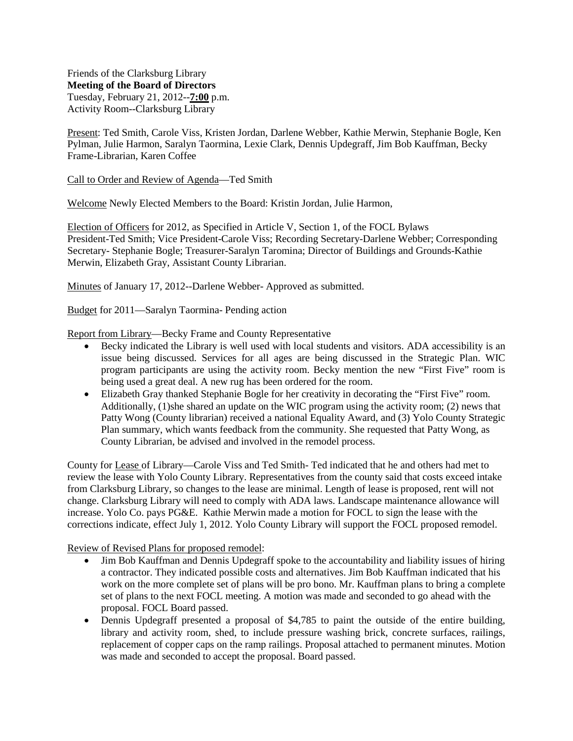Friends of the Clarksburg Library **Meeting of the Board of Directors** Tuesday, February 21, 2012--**7:00** p.m. Activity Room--Clarksburg Library

Present: Ted Smith, Carole Viss, Kristen Jordan, Darlene Webber, Kathie Merwin, Stephanie Bogle, Ken Pylman, Julie Harmon, Saralyn Taormina, Lexie Clark, Dennis Updegraff, Jim Bob Kauffman, Becky Frame-Librarian, Karen Coffee

## Call to Order and Review of Agenda—Ted Smith

Welcome Newly Elected Members to the Board: Kristin Jordan, Julie Harmon,

Election of Officers for 2012, as Specified in Article V, Section 1, of the FOCL Bylaws President-Ted Smith; Vice President-Carole Viss; Recording Secretary-Darlene Webber; Corresponding Secretary- Stephanie Bogle; Treasurer-Saralyn Taromina; Director of Buildings and Grounds-Kathie Merwin, Elizabeth Gray, Assistant County Librarian.

Minutes of January 17, 2012--Darlene Webber- Approved as submitted.

Budget for 2011—Saralyn Taormina- Pending action

Report from Library—Becky Frame and County Representative

- Becky indicated the Library is well used with local students and visitors. ADA accessibility is an issue being discussed. Services for all ages are being discussed in the Strategic Plan. WIC program participants are using the activity room. Becky mention the new "First Five" room is being used a great deal. A new rug has been ordered for the room.
- Elizabeth Gray thanked Stephanie Bogle for her creativity in decorating the "First Five" room. Additionally, (1)she shared an update on the WIC program using the activity room; (2) news that Patty Wong (County librarian) received a national Equality Award, and (3) Yolo County Strategic Plan summary, which wants feedback from the community. She requested that Patty Wong, as County Librarian, be advised and involved in the remodel process.

County for Lease of Library—Carole Viss and Ted Smith- Ted indicated that he and others had met to review the lease with Yolo County Library. Representatives from the county said that costs exceed intake from Clarksburg Library, so changes to the lease are minimal. Length of lease is proposed, rent will not change. Clarksburg Library will need to comply with ADA laws. Landscape maintenance allowance will increase. Yolo Co. pays PG&E. Kathie Merwin made a motion for FOCL to sign the lease with the corrections indicate, effect July 1, 2012. Yolo County Library will support the FOCL proposed remodel.

## Review of Revised Plans for proposed remodel:

- Jim Bob Kauffman and Dennis Updegraff spoke to the accountability and liability issues of hiring a contractor. They indicated possible costs and alternatives. Jim Bob Kauffman indicated that his work on the more complete set of plans will be pro bono. Mr. Kauffman plans to bring a complete set of plans to the next FOCL meeting. A motion was made and seconded to go ahead with the proposal. FOCL Board passed.
- Dennis Updegraff presented a proposal of \$4,785 to paint the outside of the entire building, library and activity room, shed, to include pressure washing brick, concrete surfaces, railings, replacement of copper caps on the ramp railings. Proposal attached to permanent minutes. Motion was made and seconded to accept the proposal. Board passed.